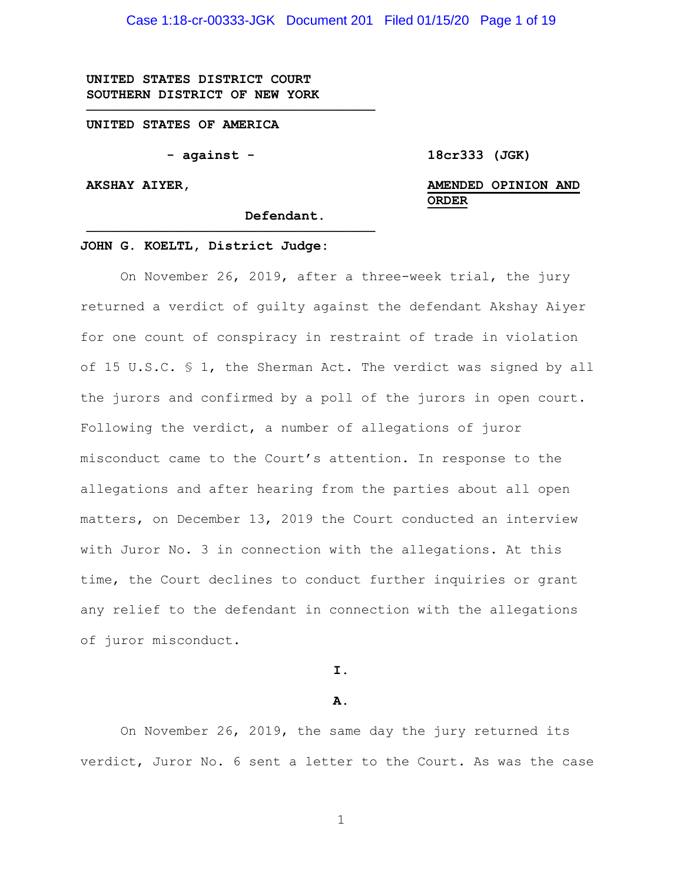Case 1:18-cr-00333-JGK Document 201 Filed 01/15/20 Page 1 of 19

**UNITED STATES DISTRICT COURT SOUTHERN DISTRICT OF NEW YORK**

#### **UNITED STATES OF AMERICA**

**- against -**

**────────────────────────────────────**

**────────────────────────────────────**

**18cr333 (JGK)**

**AKSHAY AIYER,**

# **AMENDED OPINION AND ORDER**

**Defendant.**

#### **JOHN G. KOELTL, District Judge:**

On November 26, 2019, after a three-week trial, the jury returned a verdict of guilty against the defendant Akshay Aiyer for one count of conspiracy in restraint of trade in violation of 15 U.S.C. § 1, the Sherman Act. The verdict was signed by all the jurors and confirmed by a poll of the jurors in open court. Following the verdict, a number of allegations of juror misconduct came to the Court's attention. In response to the allegations and after hearing from the parties about all open matters, on December 13, 2019 the Court conducted an interview with Juror No. 3 in connection with the allegations. At this time, the Court declines to conduct further inquiries or grant any relief to the defendant in connection with the allegations of juror misconduct.

**I.**

#### **A.**

On November 26, 2019, the same day the jury returned its verdict, Juror No. 6 sent a letter to the Court. As was the case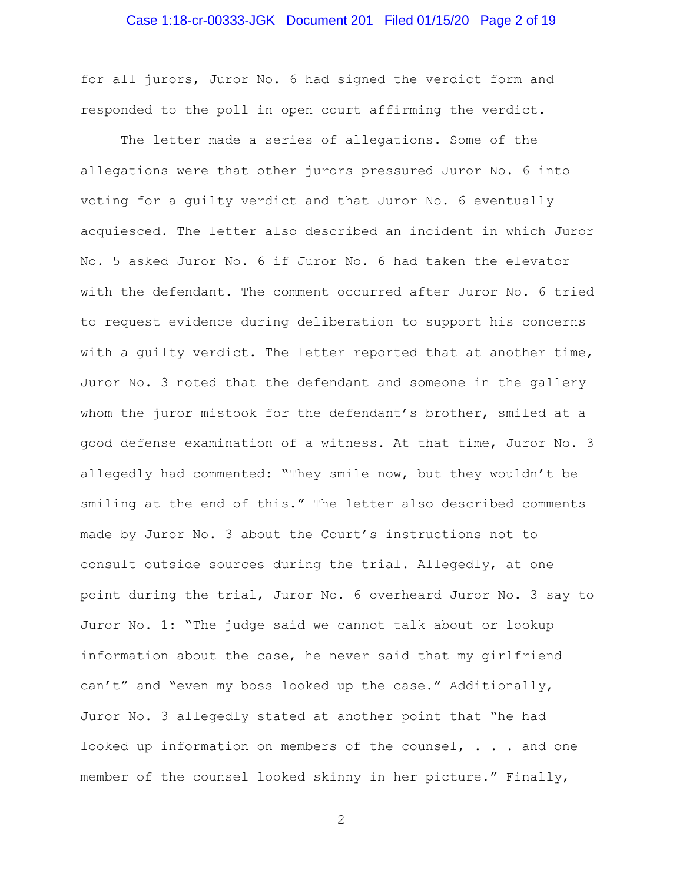## Case 1:18-cr-00333-JGK Document 201 Filed 01/15/20 Page 2 of 19

for all jurors, Juror No. 6 had signed the verdict form and responded to the poll in open court affirming the verdict.

The letter made a series of allegations. Some of the allegations were that other jurors pressured Juror No. 6 into voting for a guilty verdict and that Juror No. 6 eventually acquiesced. The letter also described an incident in which Juror No. 5 asked Juror No. 6 if Juror No. 6 had taken the elevator with the defendant. The comment occurred after Juror No. 6 tried to request evidence during deliberation to support his concerns with a guilty verdict. The letter reported that at another time, Juror No. 3 noted that the defendant and someone in the gallery whom the juror mistook for the defendant's brother, smiled at a good defense examination of a witness. At that time, Juror No. 3 allegedly had commented: "They smile now, but they wouldn't be smiling at the end of this." The letter also described comments made by Juror No. 3 about the Court's instructions not to consult outside sources during the trial. Allegedly, at one point during the trial, Juror No. 6 overheard Juror No. 3 say to Juror No. 1: "The judge said we cannot talk about or lookup information about the case, he never said that my girlfriend can't" and "even my boss looked up the case." Additionally, Juror No. 3 allegedly stated at another point that "he had looked up information on members of the counsel, . . . and one member of the counsel looked skinny in her picture." Finally,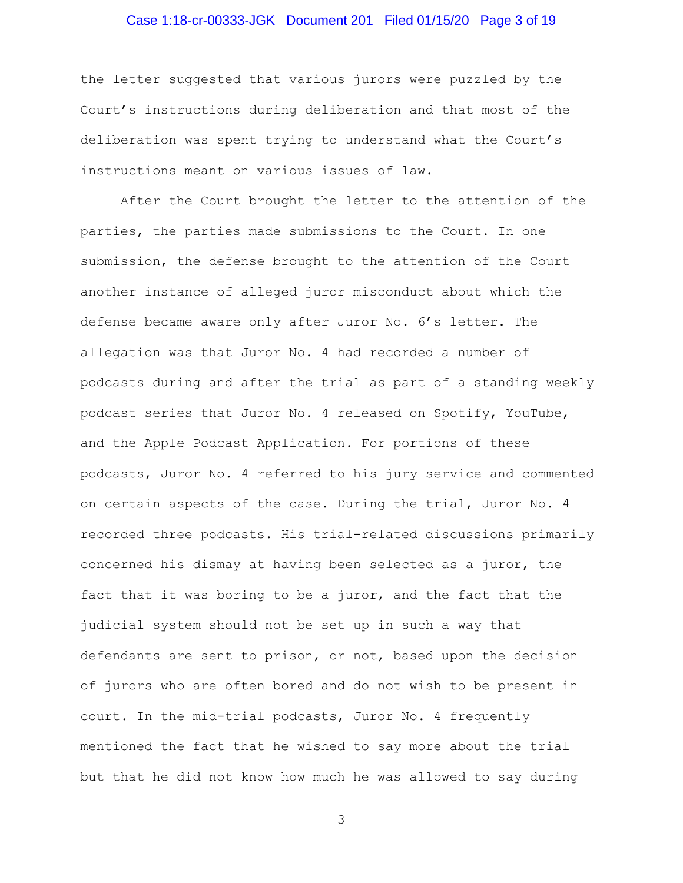# Case 1:18-cr-00333-JGK Document 201 Filed 01/15/20 Page 3 of 19

the letter suggested that various jurors were puzzled by the Court's instructions during deliberation and that most of the deliberation was spent trying to understand what the Court's instructions meant on various issues of law.

After the Court brought the letter to the attention of the parties, the parties made submissions to the Court. In one submission, the defense brought to the attention of the Court another instance of alleged juror misconduct about which the defense became aware only after Juror No. 6's letter. The allegation was that Juror No. 4 had recorded a number of podcasts during and after the trial as part of a standing weekly podcast series that Juror No. 4 released on Spotify, YouTube, and the Apple Podcast Application. For portions of these podcasts, Juror No. 4 referred to his jury service and commented on certain aspects of the case. During the trial, Juror No. 4 recorded three podcasts. His trial-related discussions primarily concerned his dismay at having been selected as a juror, the fact that it was boring to be a juror, and the fact that the judicial system should not be set up in such a way that defendants are sent to prison, or not, based upon the decision of jurors who are often bored and do not wish to be present in court. In the mid-trial podcasts, Juror No. 4 frequently mentioned the fact that he wished to say more about the trial but that he did not know how much he was allowed to say during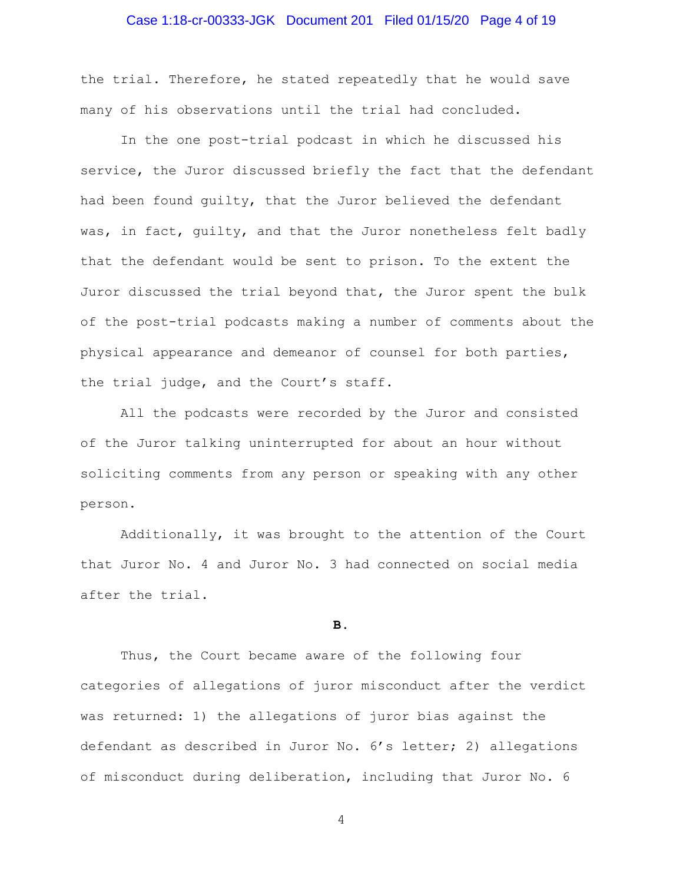#### Case 1:18-cr-00333-JGK Document 201 Filed 01/15/20 Page 4 of 19

the trial. Therefore, he stated repeatedly that he would save many of his observations until the trial had concluded.

In the one post-trial podcast in which he discussed his service, the Juror discussed briefly the fact that the defendant had been found guilty, that the Juror believed the defendant was, in fact, guilty, and that the Juror nonetheless felt badly that the defendant would be sent to prison. To the extent the Juror discussed the trial beyond that, the Juror spent the bulk of the post-trial podcasts making a number of comments about the physical appearance and demeanor of counsel for both parties, the trial judge, and the Court's staff.

All the podcasts were recorded by the Juror and consisted of the Juror talking uninterrupted for about an hour without soliciting comments from any person or speaking with any other person.

Additionally, it was brought to the attention of the Court that Juror No. 4 and Juror No. 3 had connected on social media after the trial.

#### **B.**

Thus, the Court became aware of the following four categories of allegations of juror misconduct after the verdict was returned: 1) the allegations of juror bias against the defendant as described in Juror No. 6's letter; 2) allegations of misconduct during deliberation, including that Juror No. 6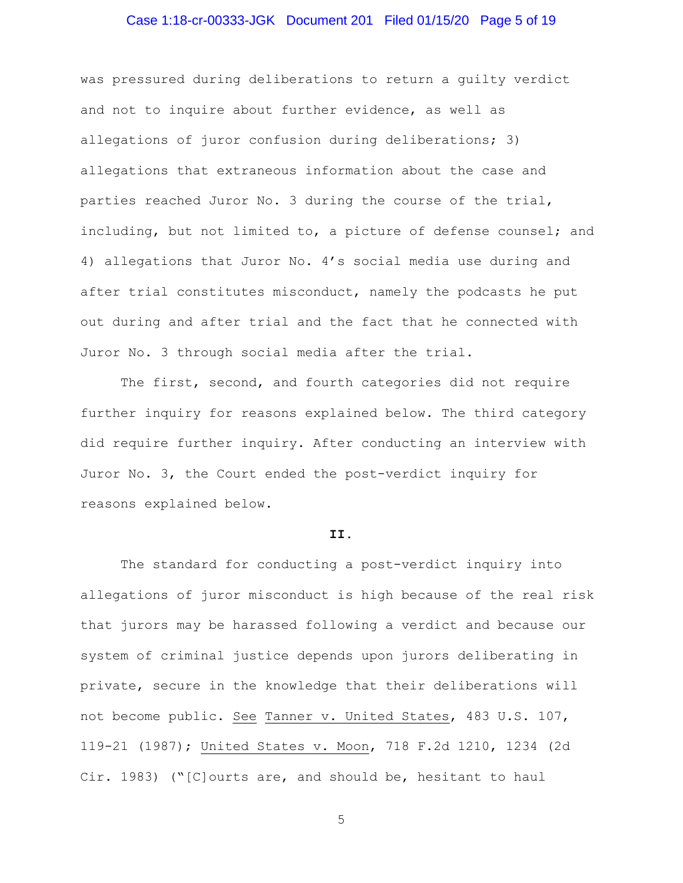# Case 1:18-cr-00333-JGK Document 201 Filed 01/15/20 Page 5 of 19

was pressured during deliberations to return a guilty verdict and not to inquire about further evidence, as well as allegations of juror confusion during deliberations; 3) allegations that extraneous information about the case and parties reached Juror No. 3 during the course of the trial, including, but not limited to, a picture of defense counsel; and 4) allegations that Juror No. 4's social media use during and after trial constitutes misconduct, namely the podcasts he put out during and after trial and the fact that he connected with Juror No. 3 through social media after the trial.

The first, second, and fourth categories did not require further inquiry for reasons explained below. The third category did require further inquiry. After conducting an interview with Juror No. 3, the Court ended the post-verdict inquiry for reasons explained below.

#### **II.**

The standard for conducting a post-verdict inquiry into allegations of juror misconduct is high because of the real risk that jurors may be harassed following a verdict and because our system of criminal justice depends upon jurors deliberating in private, secure in the knowledge that their deliberations will not become public. See Tanner v. United States, 483 U.S. 107, 119-21 (1987); United States v. Moon, 718 F.2d 1210, 1234 (2d Cir. 1983) ("[C]ourts are, and should be, hesitant to haul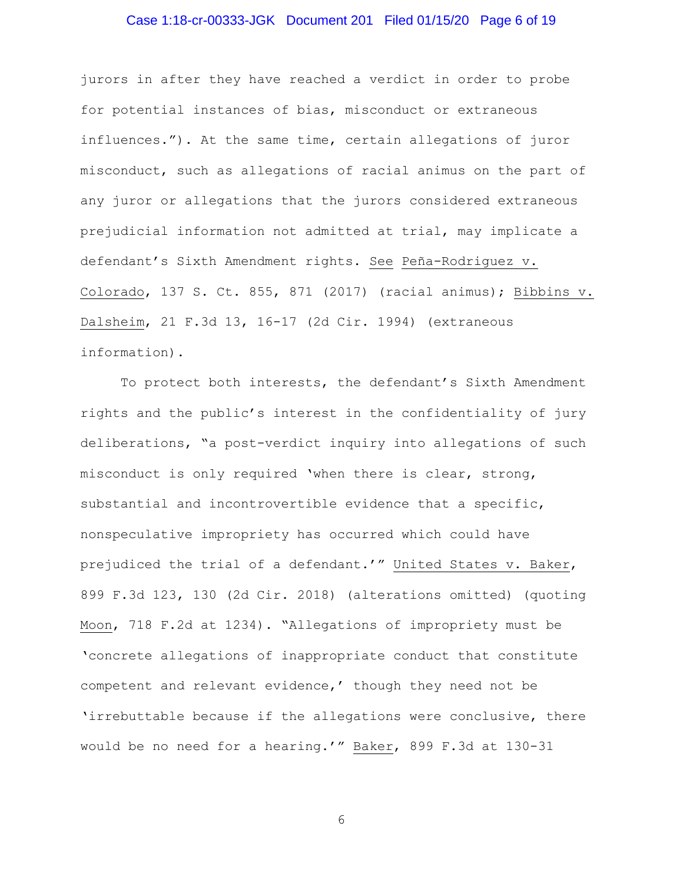# Case 1:18-cr-00333-JGK Document 201 Filed 01/15/20 Page 6 of 19

jurors in after they have reached a verdict in order to probe for potential instances of bias, misconduct or extraneous influences."). At the same time, certain allegations of juror misconduct, such as allegations of racial animus on the part of any juror or allegations that the jurors considered extraneous prejudicial information not admitted at trial, may implicate a defendant's Sixth Amendment rights. See Peña-Rodriguez v. Colorado, 137 S. Ct. 855, 871 (2017) (racial animus); Bibbins v. Dalsheim, 21 F.3d 13, 16-17 (2d Cir. 1994) (extraneous information).

To protect both interests, the defendant's Sixth Amendment rights and the public's interest in the confidentiality of jury deliberations, "a post-verdict inquiry into allegations of such misconduct is only required 'when there is clear, strong, substantial and incontrovertible evidence that a specific, nonspeculative impropriety has occurred which could have prejudiced the trial of a defendant.'" United States v. Baker, 899 F.3d 123, 130 (2d Cir. 2018) (alterations omitted) (quoting Moon, 718 F.2d at 1234). "Allegations of impropriety must be 'concrete allegations of inappropriate conduct that constitute competent and relevant evidence,' though they need not be 'irrebuttable because if the allegations were conclusive, there would be no need for a hearing.'" Baker, 899 F.3d at 130-31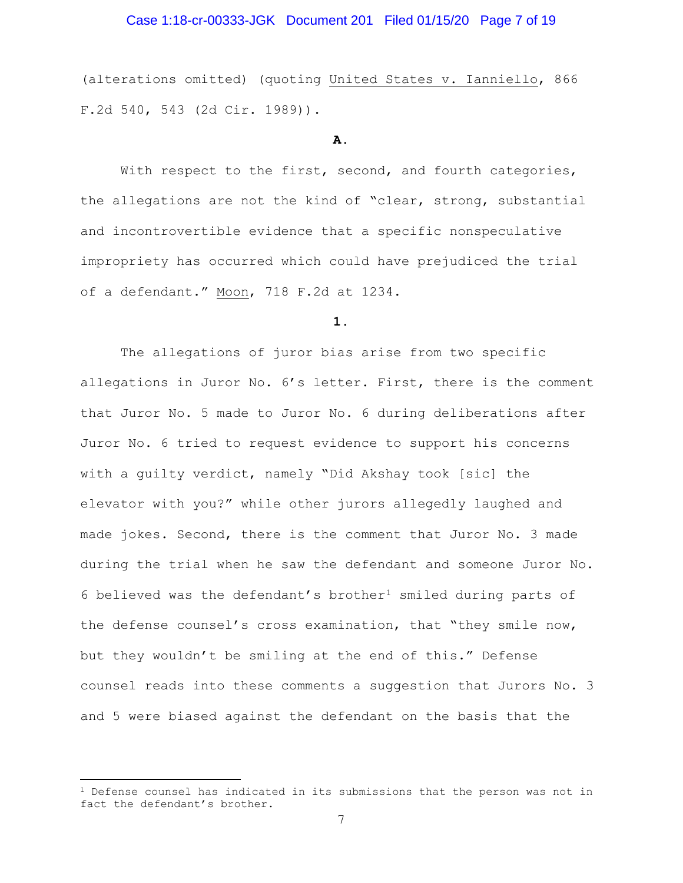## Case 1:18-cr-00333-JGK Document 201 Filed 01/15/20 Page 7 of 19

(alterations omitted) (quoting United States v. Ianniello, 866 F.2d 540, 543 (2d Cir. 1989)).

#### **A.**

With respect to the first, second, and fourth categories, the allegations are not the kind of "clear, strong, substantial and incontrovertible evidence that a specific nonspeculative impropriety has occurred which could have prejudiced the trial of a defendant." Moon, 718 F.2d at 1234.

#### **1.**

The allegations of juror bias arise from two specific allegations in Juror No. 6's letter. First, there is the comment that Juror No. 5 made to Juror No. 6 during deliberations after Juror No. 6 tried to request evidence to support his concerns with a guilty verdict, namely "Did Akshay took [sic] the elevator with you?" while other jurors allegedly laughed and made jokes. Second, there is the comment that Juror No. 3 made during the trial when he saw the defendant and someone Juror No. 6 believed was the defendant's brother<sup>1</sup> smiled during parts of the defense counsel's cross examination, that "they smile now, but they wouldn't be smiling at the end of this." Defense counsel reads into these comments a suggestion that Jurors No. 3 and 5 were biased against the defendant on the basis that the

 $\overline{a}$ 

 $1$  Defense counsel has indicated in its submissions that the person was not in fact the defendant's brother.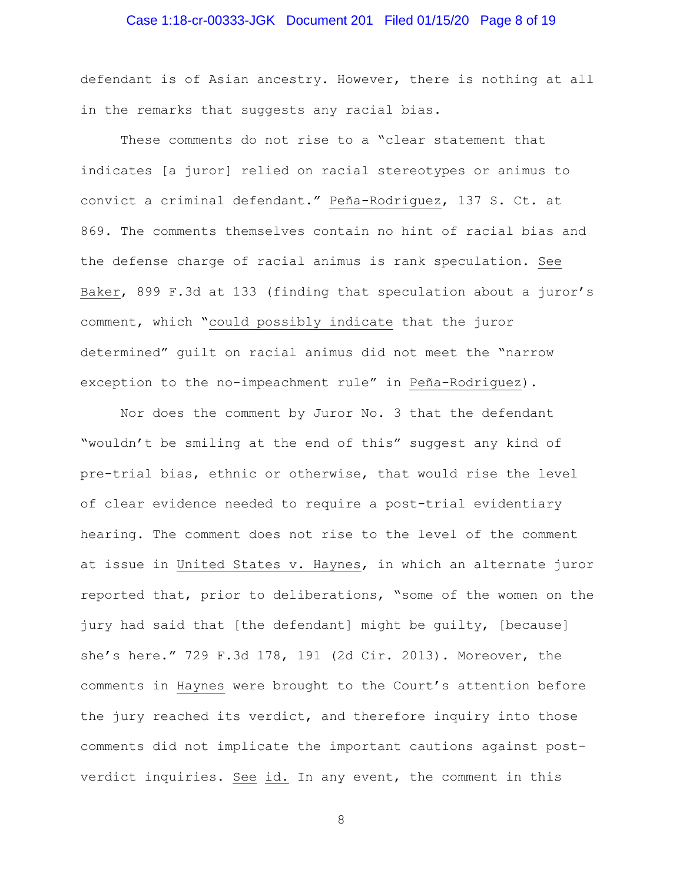# Case 1:18-cr-00333-JGK Document 201 Filed 01/15/20 Page 8 of 19

defendant is of Asian ancestry. However, there is nothing at all in the remarks that suggests any racial bias.

These comments do not rise to a "clear statement that indicates [a juror] relied on racial stereotypes or animus to convict a criminal defendant." Peña-Rodriguez, 137 S. Ct. at 869. The comments themselves contain no hint of racial bias and the defense charge of racial animus is rank speculation. See Baker, 899 F.3d at 133 (finding that speculation about a juror's comment, which "could possibly indicate that the juror determined" guilt on racial animus did not meet the "narrow exception to the no-impeachment rule" in Peña-Rodriguez).

Nor does the comment by Juror No. 3 that the defendant "wouldn't be smiling at the end of this" suggest any kind of pre-trial bias, ethnic or otherwise, that would rise the level of clear evidence needed to require a post-trial evidentiary hearing. The comment does not rise to the level of the comment at issue in United States v. Haynes, in which an alternate juror reported that, prior to deliberations, "some of the women on the jury had said that [the defendant] might be guilty, [because] she's here." 729 F.3d 178, 191 (2d Cir. 2013). Moreover, the comments in Haynes were brought to the Court's attention before the jury reached its verdict, and therefore inquiry into those comments did not implicate the important cautions against postverdict inquiries. See id. In any event, the comment in this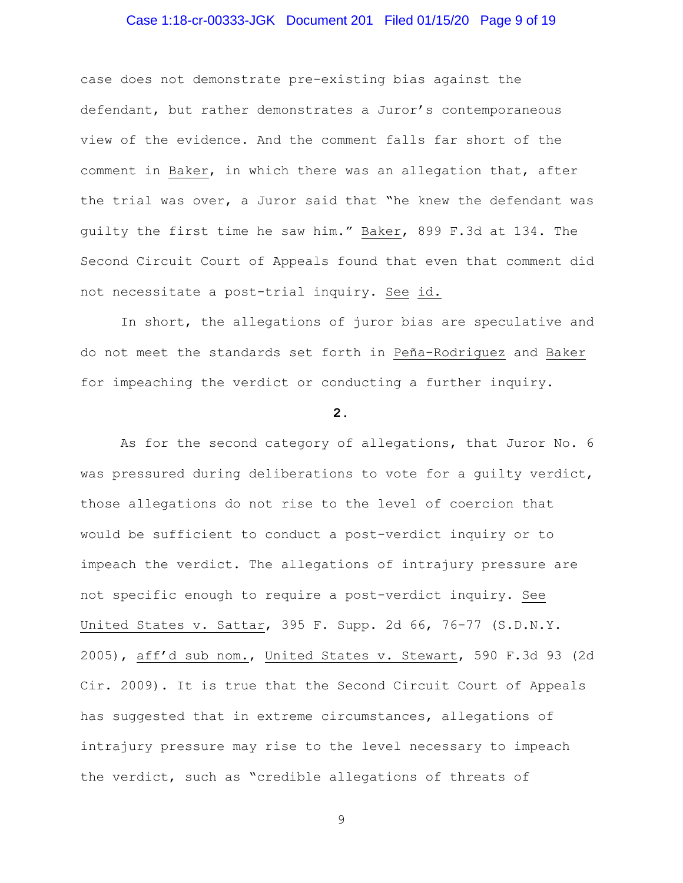## Case 1:18-cr-00333-JGK Document 201 Filed 01/15/20 Page 9 of 19

case does not demonstrate pre-existing bias against the defendant, but rather demonstrates a Juror's contemporaneous view of the evidence. And the comment falls far short of the comment in Baker, in which there was an allegation that, after the trial was over, a Juror said that "he knew the defendant was guilty the first time he saw him." Baker, 899 F.3d at 134. The Second Circuit Court of Appeals found that even that comment did not necessitate a post-trial inquiry. See id.

In short, the allegations of juror bias are speculative and do not meet the standards set forth in Peña-Rodriguez and Baker for impeaching the verdict or conducting a further inquiry.

#### **2.**

As for the second category of allegations, that Juror No. 6 was pressured during deliberations to vote for a guilty verdict, those allegations do not rise to the level of coercion that would be sufficient to conduct a post-verdict inquiry or to impeach the verdict. The allegations of intrajury pressure are not specific enough to require a post-verdict inquiry. See United States v. Sattar, 395 F. Supp. 2d 66, 76-77 (S.D.N.Y. 2005), aff'd sub nom., United States v. Stewart, 590 F.3d 93 (2d Cir. 2009). It is true that the Second Circuit Court of Appeals has suggested that in extreme circumstances, allegations of intrajury pressure may rise to the level necessary to impeach the verdict, such as "credible allegations of threats of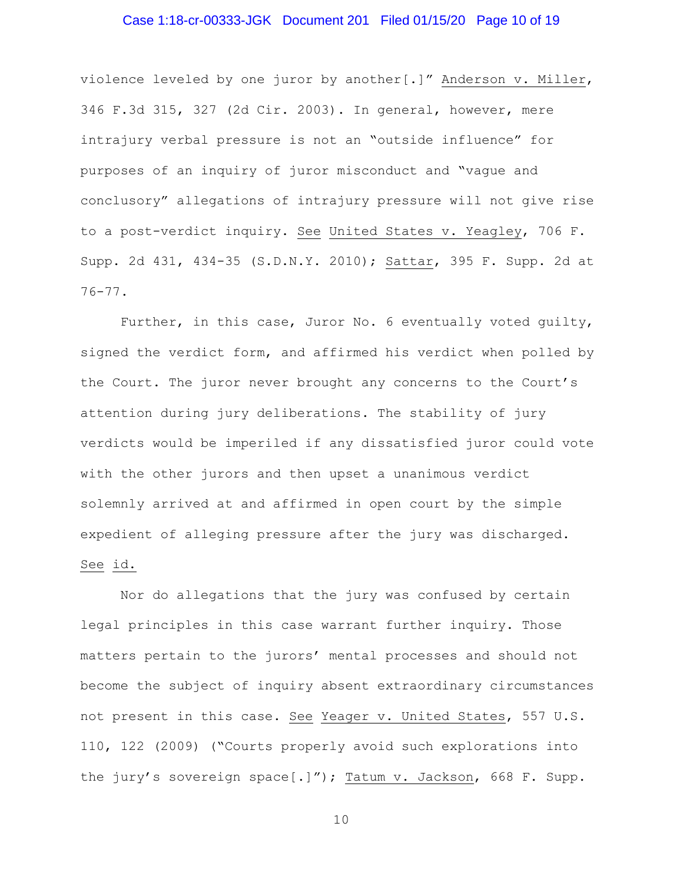## Case 1:18-cr-00333-JGK Document 201 Filed 01/15/20 Page 10 of 19

violence leveled by one juror by another[.]" Anderson v. Miller, 346 F.3d 315, 327 (2d Cir. 2003). In general, however, mere intrajury verbal pressure is not an "outside influence" for purposes of an inquiry of juror misconduct and "vague and conclusory" allegations of intrajury pressure will not give rise to a post-verdict inquiry. See United States v. Yeagley, 706 F. Supp. 2d 431, 434-35 (S.D.N.Y. 2010); Sattar, 395 F. Supp. 2d at 76-77.

Further, in this case, Juror No. 6 eventually voted guilty, signed the verdict form, and affirmed his verdict when polled by the Court. The juror never brought any concerns to the Court's attention during jury deliberations. The stability of jury verdicts would be imperiled if any dissatisfied juror could vote with the other jurors and then upset a unanimous verdict solemnly arrived at and affirmed in open court by the simple expedient of alleging pressure after the jury was discharged. See id.

Nor do allegations that the jury was confused by certain legal principles in this case warrant further inquiry. Those matters pertain to the jurors' mental processes and should not become the subject of inquiry absent extraordinary circumstances not present in this case. See Yeager v. United States, 557 U.S. 110, 122 (2009) ("Courts properly avoid such explorations into the jury's sovereign space[.]"); Tatum v. Jackson, 668 F. Supp.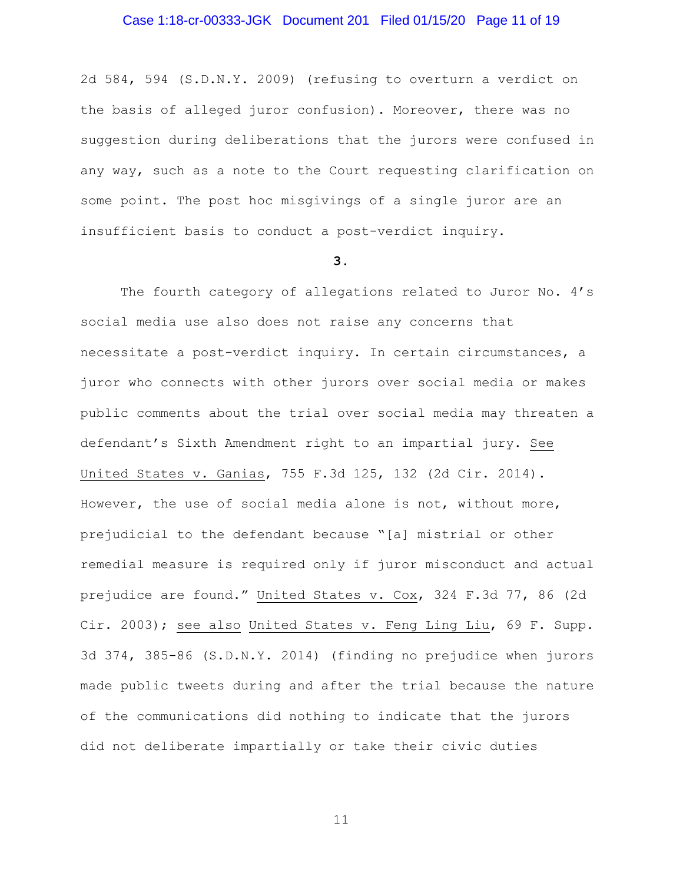## Case 1:18-cr-00333-JGK Document 201 Filed 01/15/20 Page 11 of 19

2d 584, 594 (S.D.N.Y. 2009) (refusing to overturn a verdict on the basis of alleged juror confusion). Moreover, there was no suggestion during deliberations that the jurors were confused in any way, such as a note to the Court requesting clarification on some point. The post hoc misgivings of a single juror are an insufficient basis to conduct a post-verdict inquiry.

#### **3.**

The fourth category of allegations related to Juror No. 4's social media use also does not raise any concerns that necessitate a post-verdict inquiry. In certain circumstances, a juror who connects with other jurors over social media or makes public comments about the trial over social media may threaten a defendant's Sixth Amendment right to an impartial jury. See United States v. Ganias, 755 F.3d 125, 132 (2d Cir. 2014). However, the use of social media alone is not, without more, prejudicial to the defendant because "[a] mistrial or other remedial measure is required only if juror misconduct and actual prejudice are found." United States v. Cox, 324 F.3d 77, 86 (2d Cir. 2003); see also United States v. Feng Ling Liu, 69 F. Supp. 3d 374, 385-86 (S.D.N.Y. 2014) (finding no prejudice when jurors made public tweets during and after the trial because the nature of the communications did nothing to indicate that the jurors did not deliberate impartially or take their civic duties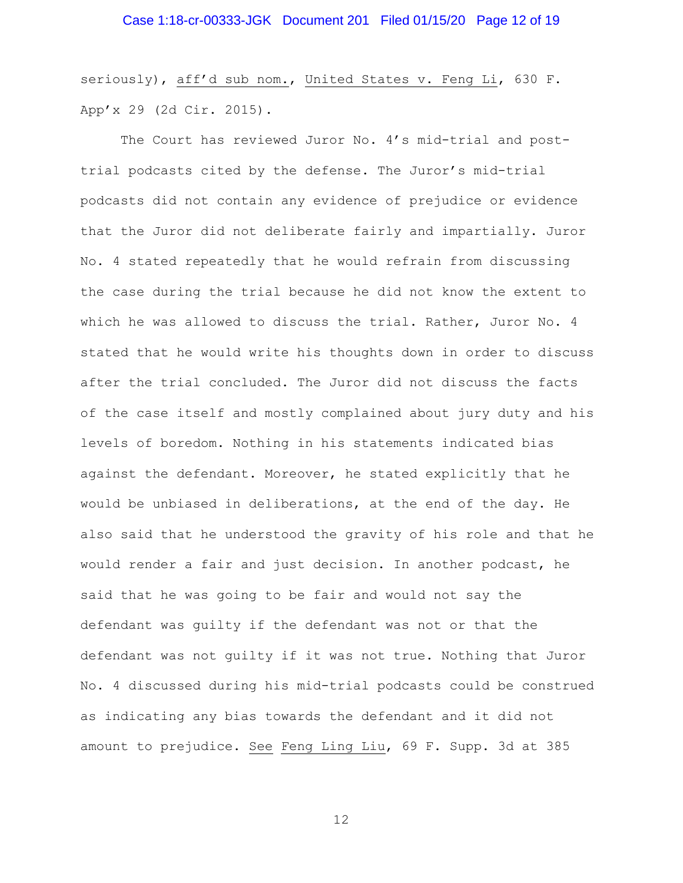seriously), aff'd sub nom., United States v. Feng Li, 630 F. App'x 29 (2d Cir. 2015).

The Court has reviewed Juror No. 4's mid-trial and posttrial podcasts cited by the defense. The Juror's mid-trial podcasts did not contain any evidence of prejudice or evidence that the Juror did not deliberate fairly and impartially. Juror No. 4 stated repeatedly that he would refrain from discussing the case during the trial because he did not know the extent to which he was allowed to discuss the trial. Rather, Juror No. 4 stated that he would write his thoughts down in order to discuss after the trial concluded. The Juror did not discuss the facts of the case itself and mostly complained about jury duty and his levels of boredom. Nothing in his statements indicated bias against the defendant. Moreover, he stated explicitly that he would be unbiased in deliberations, at the end of the day. He also said that he understood the gravity of his role and that he would render a fair and just decision. In another podcast, he said that he was going to be fair and would not say the defendant was guilty if the defendant was not or that the defendant was not guilty if it was not true. Nothing that Juror No. 4 discussed during his mid-trial podcasts could be construed as indicating any bias towards the defendant and it did not amount to prejudice. See Feng Ling Liu, 69 F. Supp. 3d at 385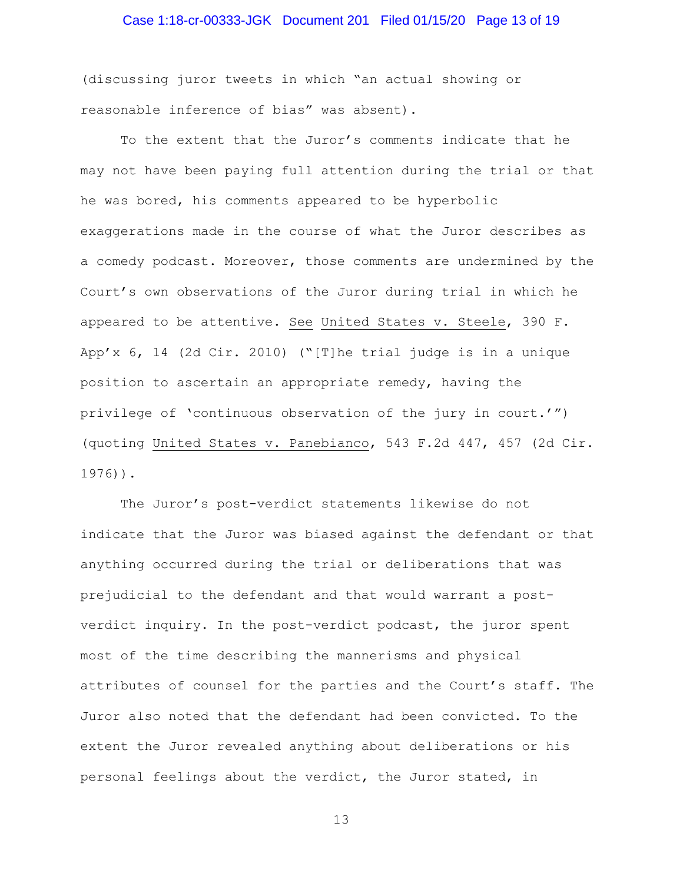# Case 1:18-cr-00333-JGK Document 201 Filed 01/15/20 Page 13 of 19

(discussing juror tweets in which "an actual showing or reasonable inference of bias" was absent).

To the extent that the Juror's comments indicate that he may not have been paying full attention during the trial or that he was bored, his comments appeared to be hyperbolic exaggerations made in the course of what the Juror describes as a comedy podcast. Moreover, those comments are undermined by the Court's own observations of the Juror during trial in which he appeared to be attentive. See United States v. Steele, 390 F. App'x 6, 14 (2d Cir. 2010) ("[T]he trial judge is in a unique position to ascertain an appropriate remedy, having the privilege of 'continuous observation of the jury in court.'") (quoting United States v. Panebianco, 543 F.2d 447, 457 (2d Cir. 1976)).

The Juror's post-verdict statements likewise do not indicate that the Juror was biased against the defendant or that anything occurred during the trial or deliberations that was prejudicial to the defendant and that would warrant a postverdict inquiry. In the post-verdict podcast, the juror spent most of the time describing the mannerisms and physical attributes of counsel for the parties and the Court's staff. The Juror also noted that the defendant had been convicted. To the extent the Juror revealed anything about deliberations or his personal feelings about the verdict, the Juror stated, in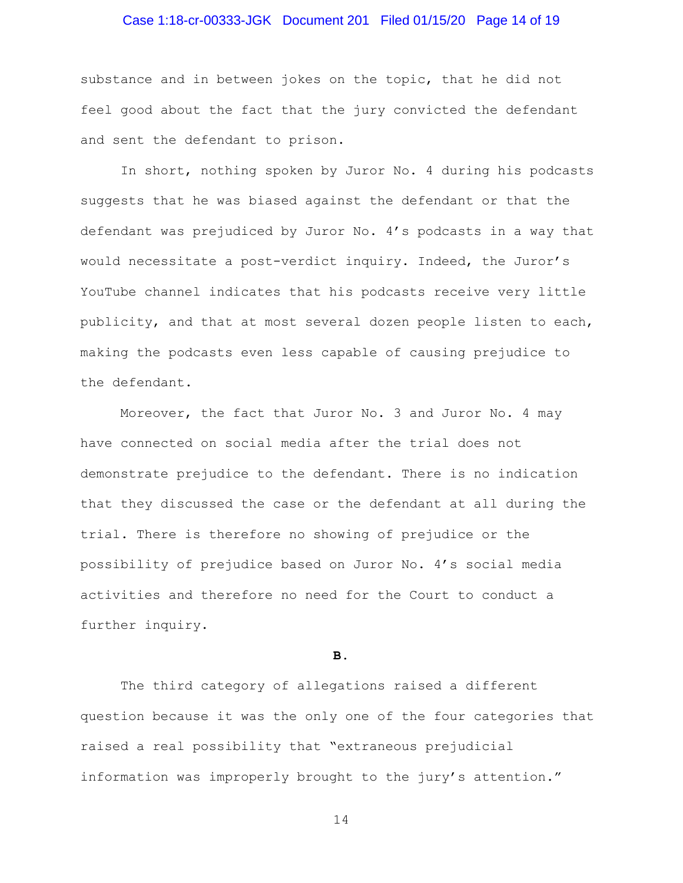## Case 1:18-cr-00333-JGK Document 201 Filed 01/15/20 Page 14 of 19

substance and in between jokes on the topic, that he did not feel good about the fact that the jury convicted the defendant and sent the defendant to prison.

In short, nothing spoken by Juror No. 4 during his podcasts suggests that he was biased against the defendant or that the defendant was prejudiced by Juror No. 4's podcasts in a way that would necessitate a post-verdict inquiry. Indeed, the Juror's YouTube channel indicates that his podcasts receive very little publicity, and that at most several dozen people listen to each, making the podcasts even less capable of causing prejudice to the defendant.

Moreover, the fact that Juror No. 3 and Juror No. 4 may have connected on social media after the trial does not demonstrate prejudice to the defendant. There is no indication that they discussed the case or the defendant at all during the trial. There is therefore no showing of prejudice or the possibility of prejudice based on Juror No. 4's social media activities and therefore no need for the Court to conduct a further inquiry.

**B.**

The third category of allegations raised a different question because it was the only one of the four categories that raised a real possibility that "extraneous prejudicial information was improperly brought to the jury's attention."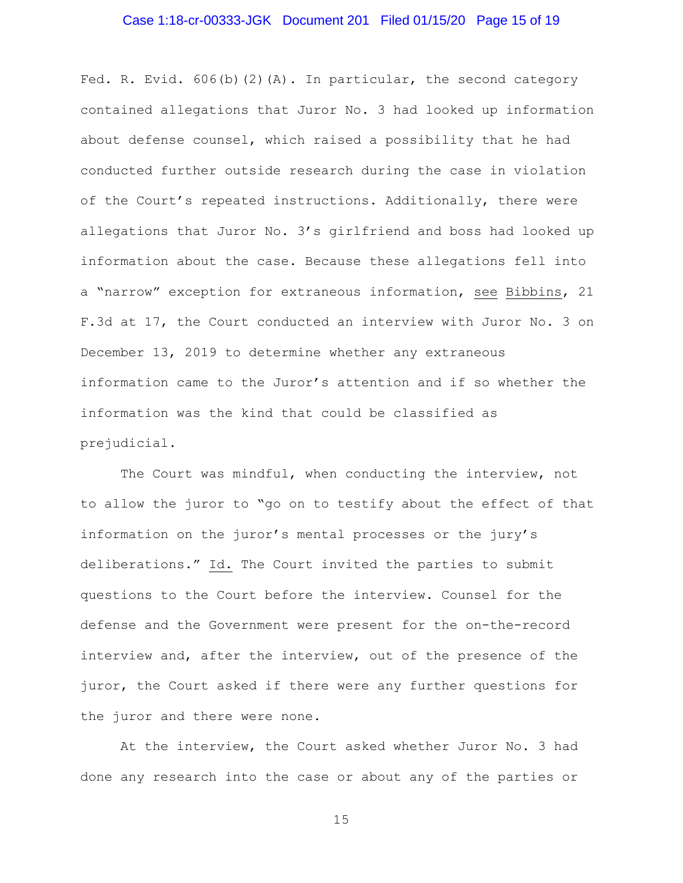## Case 1:18-cr-00333-JGK Document 201 Filed 01/15/20 Page 15 of 19

Fed. R. Evid. 606(b)(2)(A). In particular, the second category contained allegations that Juror No. 3 had looked up information about defense counsel, which raised a possibility that he had conducted further outside research during the case in violation of the Court's repeated instructions. Additionally, there were allegations that Juror No. 3's girlfriend and boss had looked up information about the case. Because these allegations fell into a "narrow" exception for extraneous information, see Bibbins, 21 F.3d at 17, the Court conducted an interview with Juror No. 3 on December 13, 2019 to determine whether any extraneous information came to the Juror's attention and if so whether the information was the kind that could be classified as prejudicial.

The Court was mindful, when conducting the interview, not to allow the juror to "go on to testify about the effect of that information on the juror's mental processes or the jury's deliberations." Id. The Court invited the parties to submit questions to the Court before the interview. Counsel for the defense and the Government were present for the on-the-record interview and, after the interview, out of the presence of the juror, the Court asked if there were any further questions for the juror and there were none.

At the interview, the Court asked whether Juror No. 3 had done any research into the case or about any of the parties or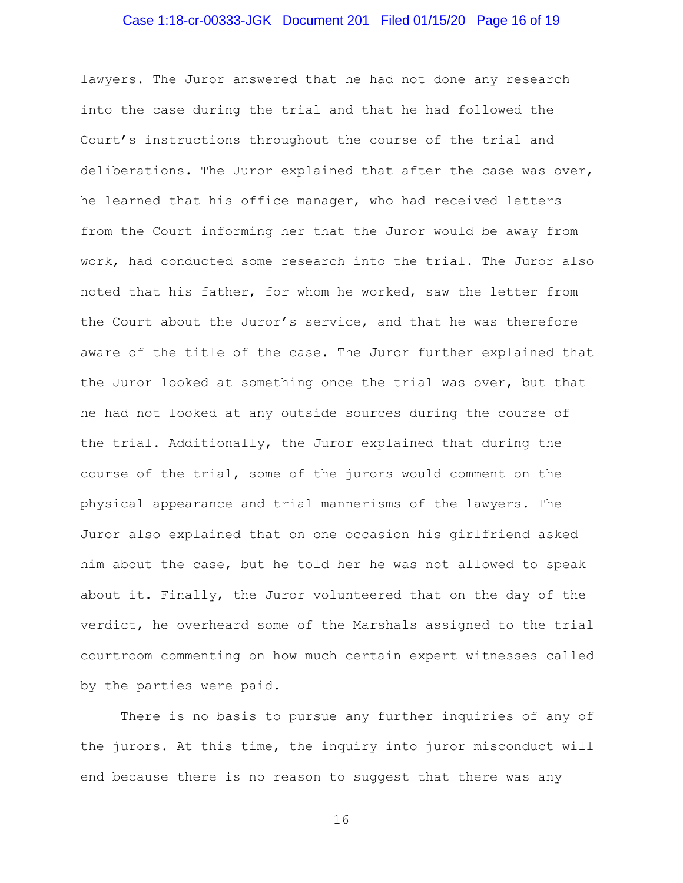### Case 1:18-cr-00333-JGK Document 201 Filed 01/15/20 Page 16 of 19

lawyers. The Juror answered that he had not done any research into the case during the trial and that he had followed the Court's instructions throughout the course of the trial and deliberations. The Juror explained that after the case was over, he learned that his office manager, who had received letters from the Court informing her that the Juror would be away from work, had conducted some research into the trial. The Juror also noted that his father, for whom he worked, saw the letter from the Court about the Juror's service, and that he was therefore aware of the title of the case. The Juror further explained that the Juror looked at something once the trial was over, but that he had not looked at any outside sources during the course of the trial. Additionally, the Juror explained that during the course of the trial, some of the jurors would comment on the physical appearance and trial mannerisms of the lawyers. The Juror also explained that on one occasion his girlfriend asked him about the case, but he told her he was not allowed to speak about it. Finally, the Juror volunteered that on the day of the verdict, he overheard some of the Marshals assigned to the trial courtroom commenting on how much certain expert witnesses called by the parties were paid.

There is no basis to pursue any further inquiries of any of the jurors. At this time, the inquiry into juror misconduct will end because there is no reason to suggest that there was any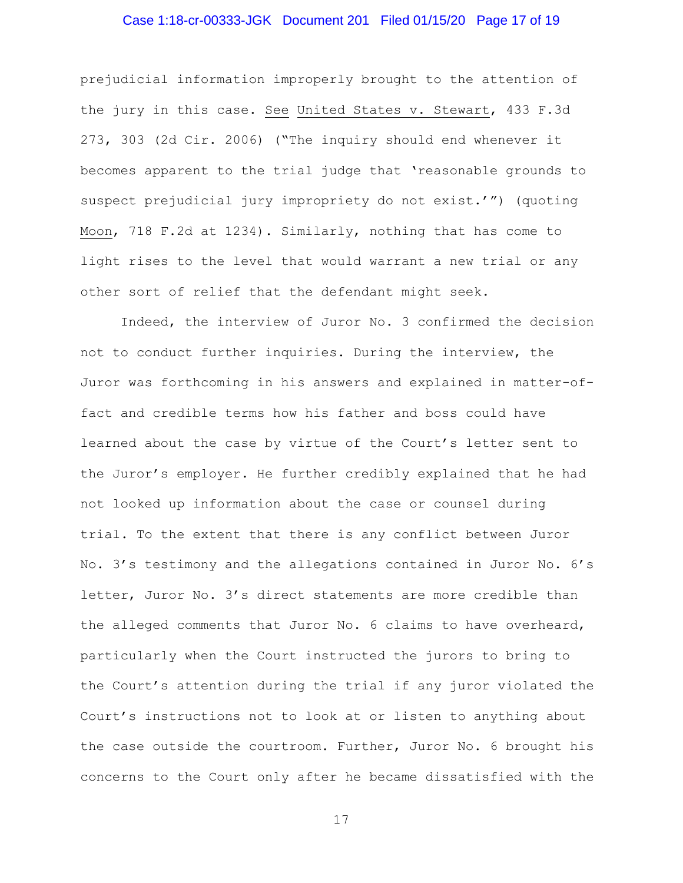## Case 1:18-cr-00333-JGK Document 201 Filed 01/15/20 Page 17 of 19

prejudicial information improperly brought to the attention of the jury in this case. See United States v. Stewart, 433 F.3d 273, 303 (2d Cir. 2006) ("The inquiry should end whenever it becomes apparent to the trial judge that 'reasonable grounds to suspect prejudicial jury impropriety do not exist.'") (quoting Moon, 718 F.2d at 1234). Similarly, nothing that has come to light rises to the level that would warrant a new trial or any other sort of relief that the defendant might seek.

Indeed, the interview of Juror No. 3 confirmed the decision not to conduct further inquiries. During the interview, the Juror was forthcoming in his answers and explained in matter-offact and credible terms how his father and boss could have learned about the case by virtue of the Court's letter sent to the Juror's employer. He further credibly explained that he had not looked up information about the case or counsel during trial. To the extent that there is any conflict between Juror No. 3's testimony and the allegations contained in Juror No. 6's letter, Juror No. 3's direct statements are more credible than the alleged comments that Juror No. 6 claims to have overheard, particularly when the Court instructed the jurors to bring to the Court's attention during the trial if any juror violated the Court's instructions not to look at or listen to anything about the case outside the courtroom. Further, Juror No. 6 brought his concerns to the Court only after he became dissatisfied with the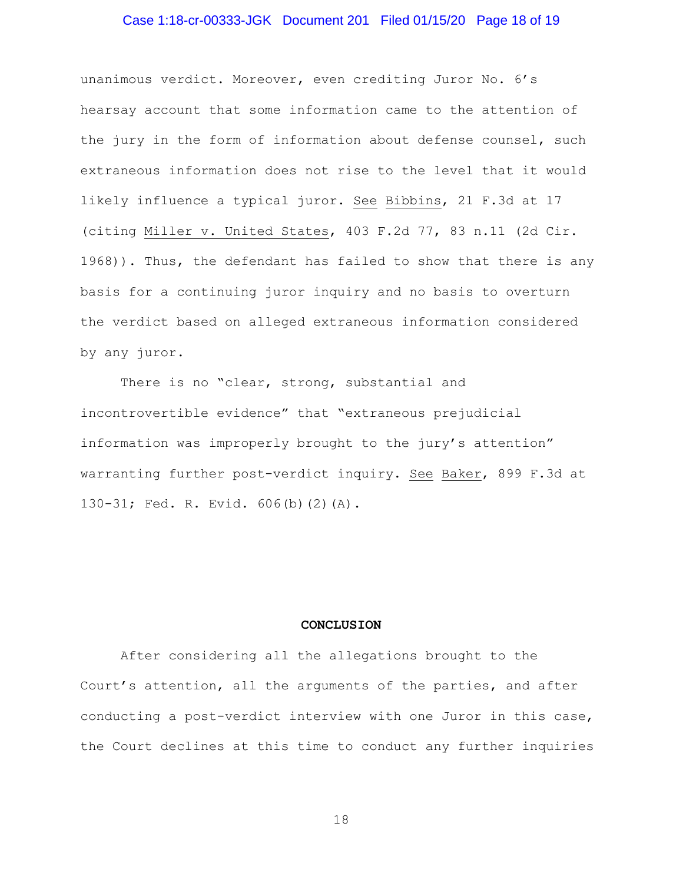## Case 1:18-cr-00333-JGK Document 201 Filed 01/15/20 Page 18 of 19

unanimous verdict. Moreover, even crediting Juror No. 6's hearsay account that some information came to the attention of the jury in the form of information about defense counsel, such extraneous information does not rise to the level that it would likely influence a typical juror. See Bibbins, 21 F.3d at 17 (citing Miller v. United States, 403 F.2d 77, 83 n.11 (2d Cir. 1968)). Thus, the defendant has failed to show that there is any basis for a continuing juror inquiry and no basis to overturn the verdict based on alleged extraneous information considered by any juror.

There is no "clear, strong, substantial and incontrovertible evidence" that "extraneous prejudicial information was improperly brought to the jury's attention" warranting further post-verdict inquiry. See Baker, 899 F.3d at 130-31; Fed. R. Evid. 606(b)(2)(A).

#### **CONCLUSION**

After considering all the allegations brought to the Court's attention, all the arguments of the parties, and after conducting a post-verdict interview with one Juror in this case, the Court declines at this time to conduct any further inquiries